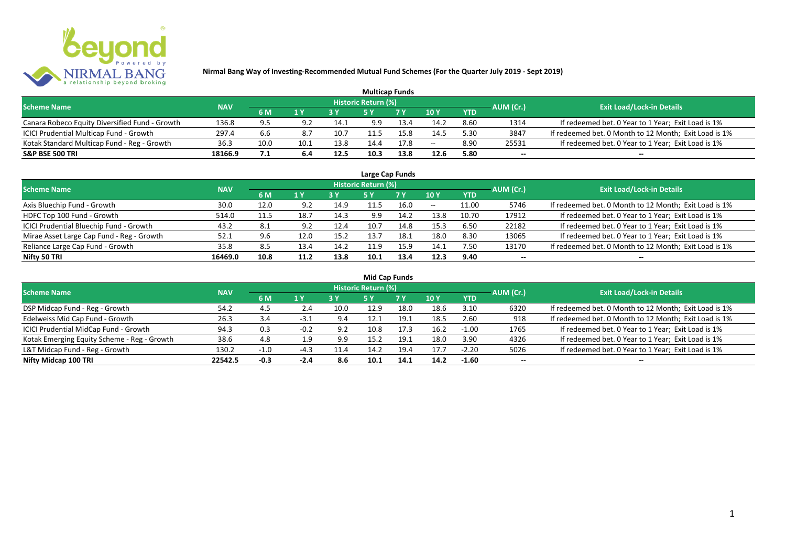

| <b>Multicap Funds</b>                          |            |      |      |      |                            |           |               |            |           |                                                       |  |  |  |
|------------------------------------------------|------------|------|------|------|----------------------------|-----------|---------------|------------|-----------|-------------------------------------------------------|--|--|--|
| <b>Scheme Name</b>                             | <b>NAV</b> |      |      |      | <b>Historic Return (%)</b> |           |               |            | AUM (Cr.) | <b>Exit Load/Lock-in Details</b>                      |  |  |  |
|                                                |            | 6 M  | 1 Y  |      |                            | <b>7Y</b> | $\sqrt{10}$ y | <b>YTD</b> |           |                                                       |  |  |  |
| Canara Robeco Equity Diversified Fund - Growth | 136.8      | 9.5  | 9.2  | 14.1 | 9.9                        | 13.4      | 14.2          | 8.60       | 1314      | If redeemed bet. 0 Year to 1 Year; Exit Load is 1%    |  |  |  |
| ICICI Prudential Multicap Fund - Growth        | 297.4      | 6.6  | 8.7  | 10.7 |                            |           | 14.5          | 5.30       | 3847      | If redeemed bet. 0 Month to 12 Month; Exit Load is 1% |  |  |  |
| Kotak Standard Multicap Fund - Reg - Growth    | 36.3       | 10.0 | 10.1 | 13.8 |                            | 17.8      | $- -$         | 8.90       | 25531     | If redeemed bet. 0 Year to 1 Year; Exit Load is 1%    |  |  |  |
| <b>S&amp;P BSE 500 TRI</b>                     | 18166.9    | 7.1  | 6.4  | 12.5 | 10.3                       | 13.8      | 12.6          | 5.80       | $-$       | $- -$                                                 |  |  |  |

|                                           |            |      |      |      |                            | Large Cap Funds |       |            |           |                                                       |
|-------------------------------------------|------------|------|------|------|----------------------------|-----------------|-------|------------|-----------|-------------------------------------------------------|
| <b>Scheme Name</b>                        | <b>NAV</b> |      |      |      | <b>Historic Return (%)</b> |                 |       |            | AUM (Cr.) | <b>Exit Load/Lock-in Details</b>                      |
|                                           |            | 6 M  | 1 Y  |      | <b>5Y</b>                  | 7 Y             | 10Y   | <b>YTD</b> |           |                                                       |
| Axis Bluechip Fund - Growth               | 30.0       | 12.0 | 9.2  | 14.9 | 11.5                       | 16.0            | $- -$ | 11.00      | 5746      | If redeemed bet. 0 Month to 12 Month; Exit Load is 1% |
| HDFC Top 100 Fund - Growth                | 514.0      | 11.5 | 18.7 | 14.3 | 9.9                        | 14.2            | 13.8  | 10.70      | 17912     | If redeemed bet. 0 Year to 1 Year; Exit Load is 1%    |
| ICICI Prudential Bluechip Fund - Growth   | 43.2       | 8.1  | 9.2  | 12.4 | 10.7                       | 14.8            | 15.3  | 6.50       | 22182     | If redeemed bet. 0 Year to 1 Year; Exit Load is 1%    |
| Mirae Asset Large Cap Fund - Reg - Growth | 52.1       | 9.6  | 12.0 | 15.2 | 13.7                       | 18.1            | 18.0  | 8.30       | 13065     | If redeemed bet. 0 Year to 1 Year; Exit Load is 1%    |
| Reliance Large Cap Fund - Growth          | 35.8       | 8.5  | 13.4 | 14.2 | 11.9                       | 15.9            | 14.1  | 7.50       | 13170     | If redeemed bet. 0 Month to 12 Month; Exit Load is 1% |
| Nifty 50 TRI                              | 16469.0    | 10.8 | 11.2 | 13.8 | 10.1                       | 13.4            | 12.3  | 9.40       |           | --                                                    |

| <b>Mid Cap Funds</b>                        |            |        |        |      |                            |      |      |            |                          |                                                       |  |  |  |  |
|---------------------------------------------|------------|--------|--------|------|----------------------------|------|------|------------|--------------------------|-------------------------------------------------------|--|--|--|--|
| <b>Scheme Name</b>                          | <b>NAV</b> |        |        |      | <b>Historic Return (%)</b> |      |      |            | AUM (Cr.)                | <b>Exit Load/Lock-in Details</b>                      |  |  |  |  |
|                                             |            | 6 M    | 1 Y    |      | 5 Y                        | 7 Y  | 10Y  | <b>YTD</b> |                          |                                                       |  |  |  |  |
| DSP Midcap Fund - Reg - Growth              | 54.2       | 4.5    | 2.4    | 10.0 | 12.9                       | 18.0 | 18.6 | 3.10       | 6320                     | If redeemed bet. 0 Month to 12 Month; Exit Load is 1% |  |  |  |  |
| Edelweiss Mid Cap Fund - Growth             | 26.3       | 3.4    | $-3.1$ | 9.4  | 12.1                       | 19.1 | 18.5 | 2.60       | 918                      | If redeemed bet. 0 Month to 12 Month; Exit Load is 1% |  |  |  |  |
| ICICI Prudential MidCap Fund - Growth       | 94.3       | 0.3    | $-0.2$ | 9.2  | 10.8                       | 17.3 | 16.2 | $-1.00$    | 1765                     | If redeemed bet. 0 Year to 1 Year; Exit Load is 1%    |  |  |  |  |
| Kotak Emerging Equity Scheme - Reg - Growth | 38.6       | 4.8    | 1.9    | 9.9  | 15.2                       | 19.1 | 18.0 | 3.90       | 4326                     | If redeemed bet. 0 Year to 1 Year; Exit Load is 1%    |  |  |  |  |
| L&T Midcap Fund - Reg - Growth              | 130.2      | $-1.0$ | -4.3   | 11.4 | 14.2                       | 19.4 | 17.7 | $-2.20$    | 5026                     | If redeemed bet. 0 Year to 1 Year; Exit Load is 1%    |  |  |  |  |
| Nifty Midcap 100 TRI                        | 22542.5    | $-0.3$ | $-2.4$ | 8.6  | 10.1                       | 14.1 | 14.2 | $-1.60$    | $\overline{\phantom{a}}$ | $- -$                                                 |  |  |  |  |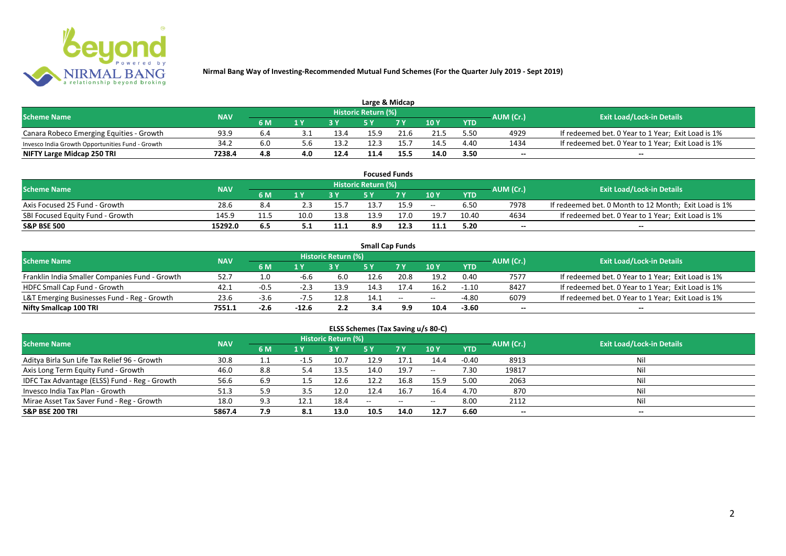

| Large & Midcap                                   |            |     |                |      |                            |      |      |            |           |                                                    |  |  |  |
|--------------------------------------------------|------------|-----|----------------|------|----------------------------|------|------|------------|-----------|----------------------------------------------------|--|--|--|
| <b>Scheme Name</b>                               | <b>NAV</b> |     |                |      | <b>Historic Return (%)</b> |      |      |            | AUM (Cr.) | <b>Exit Load/Lock-in Details</b>                   |  |  |  |
|                                                  |            | 6 M | 1 <sub>N</sub> |      |                            | 7 V  | 10Y  | <b>YTD</b> |           |                                                    |  |  |  |
| Canara Robeco Emerging Equities - Growth         | 93.9       | 6.4 |                | 13.4 | 15.9                       | 21.6 | 21.5 | 5.50       | 4929      | If redeemed bet. 0 Year to 1 Year; Exit Load is 1% |  |  |  |
| Invesco India Growth Opportunities Fund - Growth | 34.2       |     |                | 13.2 | 12.3                       | 15.1 | 14.5 | 4.40       | 1434      | If redeemed bet. 0 Year to 1 Year; Exit Load is 1% |  |  |  |
| NIFTY Large Midcap 250 TRI                       | 7238.4     | 4.8 | 4.0            | 12.4 | 11.4                       | 15.5 | 14.0 | 3.50       | $- -$     | $- -$                                              |  |  |  |

| <b>Focused Funds</b>             |            |     |      |      |                     |      |       |            |           |                                                       |  |  |  |
|----------------------------------|------------|-----|------|------|---------------------|------|-------|------------|-----------|-------------------------------------------------------|--|--|--|
| <b>Scheme Name</b>               | <b>NAV</b> |     |      |      | Historic Return (%) |      |       |            | AUM (Cr.) | <b>Exit Load/Lock-in Details</b>                      |  |  |  |
|                                  |            | 6 M | 1 V  |      | cν                  | 7 V  | 10 Y  | <b>YTD</b> |           |                                                       |  |  |  |
| Axis Focused 25 Fund - Growth    | 28.6       | 8.4 |      | 15.  | 13.7                | 15.9 | $- -$ | 6.50       | 7978      | If redeemed bet. 0 Month to 12 Month; Exit Load is 1% |  |  |  |
| SBI Focused Equity Fund - Growth | 145.9      |     | 10.0 | 13.8 | 13.9                | 17.0 | 19.7  | 10.40      | 4634      | If redeemed bet. 0 Year to 1 Year; Exit Load is 1%    |  |  |  |
| <b>S&amp;P BSE 500</b>           | 15292.0    | 6.5 |      | 11.1 | 8.9                 | 12.3 | 11.1  | 5.20       | $- -$     | $- -$                                                 |  |  |  |

|                                                |            |        |                         |                     | <b>Small Cap Funds</b> |                                                |       |            |                          |                                                    |
|------------------------------------------------|------------|--------|-------------------------|---------------------|------------------------|------------------------------------------------|-------|------------|--------------------------|----------------------------------------------------|
| <b>Scheme Name</b>                             | <b>NAV</b> |        |                         | Historic Return (%) |                        |                                                |       |            | AUM (Cr.)                | <b>Exit Load/Lock-in Details</b>                   |
|                                                |            | 6 M    | $\mathbf{1} \mathbf{V}$ |                     |                        | 7 V                                            | 10Y   | <b>YTD</b> |                          |                                                    |
| Franklin India Smaller Companies Fund - Growth | 52.7       |        | -6.6                    | 6.0                 | 12.6                   | 20.8                                           | 19.2  | 0.40       | 7577                     | If redeemed bet. 0 Year to 1 Year; Exit Load is 1% |
| HDFC Small Cap Fund - Growth                   | 42.1       |        | -4.5                    | 13.9                | 14.3                   | 17.4                                           | 16.2  | $-1.10$    | 8427                     | If redeemed bet. 0 Year to 1 Year; Exit Load is 1% |
| L&T Emerging Businesses Fund - Reg - Growth    | 23.6       | -3.U   | -7.5                    | 12.8                | 14.1                   | $\hspace{0.1mm}-\hspace{0.1mm}-\hspace{0.1mm}$ | $- -$ | $-4.80$    | 6079                     | If redeemed bet. 0 Year to 1 Year; Exit Load is 1% |
| Nifty Smallcap 100 TRI                         | 7551.1     | $-2.6$ | $-12.6$                 | 2.2                 | 3.4                    | 9.9                                            | 10.4  | $-3.60$    | $\overline{\phantom{a}}$ | --                                                 |

# **ELSS Schemes (Tax Saving u/s 80-C)**

| <b>Scheme Name</b>                            | <b>NAV</b> |     |                         | <b>Historic Return (%)</b> |            |            |               | AUM (Cr.)  | Exit Load/Lock-in Details |       |
|-----------------------------------------------|------------|-----|-------------------------|----------------------------|------------|------------|---------------|------------|---------------------------|-------|
|                                               |            | 6 M | $\mathbf{1} \mathbf{V}$ |                            | <b>5 Y</b> | <b>7 Y</b> | 10Y           | <b>YTD</b> |                           |       |
| Aditya Birla Sun Life Tax Relief 96 - Growth  | 30.8       |     | -1.5                    | 10.7                       | 12.9       | 17.1       | 14.4          | $-0.40$    | 8913                      | Nil   |
| Axis Long Term Equity Fund - Growth           | 46.0       | 8.8 |                         | 13.5                       | 14.0       | 19.7       | $\sim$ $\sim$ | 7.30       | 19817                     | Nil   |
| IDFC Tax Advantage (ELSS) Fund - Reg - Growth | 56.6       | 6.9 |                         | 12.6                       | 12.2       | 16.8       | 15.9          | 5.00       | 2063                      | Nil   |
| Invesco India Tax Plan - Growth               | 51.3       | 5.9 | 3.5                     | 12.0                       | 12.4       | 16.7       | 16.4          | 4.70       | 870                       | Nil   |
| Mirae Asset Tax Saver Fund - Reg - Growth     | 18.0       | 9.3 | 12.1                    | 18.4                       | $- -$      | $- -$      | $- -$         | 8.00       | 2112                      | Nil   |
| <b>S&amp;P BSE 200 TRI</b>                    | 5867.4     | 7.9 | 8.1                     | 13.0                       | 10.5       | 14.0       | 12.7          | 6.60       | $- -$                     | $- -$ |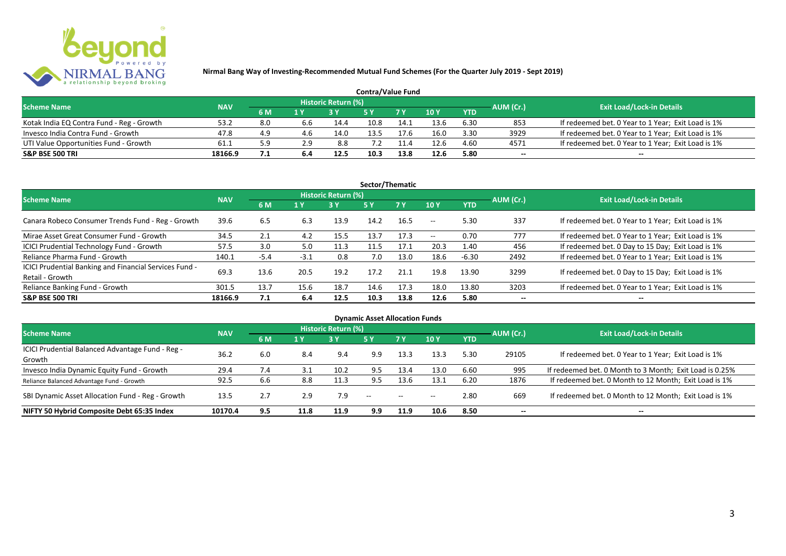

| <b>Contra/Value Fund</b>                  |            |     |     |                     |      |      |        |            |           |                                                    |  |  |  |
|-------------------------------------------|------------|-----|-----|---------------------|------|------|--------|------------|-----------|----------------------------------------------------|--|--|--|
| <b>Scheme Name</b>                        | <b>NAV</b> |     |     | Historic Return (%) |      |      |        |            | AUM (Cr.) | <b>Exit Load/Lock-in Details</b>                   |  |  |  |
|                                           |            | 6 M | 1 Y |                     |      | 7Y   | $-10Y$ | <b>YTD</b> |           |                                                    |  |  |  |
| Kotak India EQ Contra Fund - Reg - Growth | 53.2       | 8.0 | 6.6 | 14.4                | 10.8 | 14.1 | 13.6   | 6.30       | 853       | If redeemed bet. 0 Year to 1 Year; Exit Load is 1% |  |  |  |
| Invesco India Contra Fund - Growth        | 47.8       | 4.9 | 4.6 | 14.0                | 13.5 | 7.h  | 16.0   | 3.30       | 3929      | If redeemed bet. 0 Year to 1 Year; Exit Load is 1% |  |  |  |
| UTI Value Opportunities Fund - Growth     | 61.1       | 5.9 | 2.9 | 8.8                 | '.2  |      | 12.6   | 4.60       | 4571      | If redeemed bet. 0 Year to 1 Year; Exit Load is 1% |  |  |  |
| <b>S&amp;P BSE 500 TRI</b>                | 18166.9    | 7.1 | 6.4 | 12.5                | 10.3 | 13.8 | 12.6   | 5.80       | $-$       | $- -$                                              |  |  |  |

| Sector/Thematic                                                           |            |        |        |                            |      |           |                          |            |                          |                                                    |  |  |  |
|---------------------------------------------------------------------------|------------|--------|--------|----------------------------|------|-----------|--------------------------|------------|--------------------------|----------------------------------------------------|--|--|--|
| <b>Scheme Name</b>                                                        | <b>NAV</b> |        |        | <b>Historic Return (%)</b> |      |           |                          |            | AUM (Cr.)                | <b>Exit Load/Lock-in Details</b>                   |  |  |  |
|                                                                           |            | 6 M    | 1 Y    | <b>3 Y</b>                 | 5Y   | <b>7Y</b> | 10Y                      | <b>YTD</b> |                          |                                                    |  |  |  |
| Canara Robeco Consumer Trends Fund - Reg - Growth                         | 39.6       | 6.5    | 6.3    | 13.9                       | 14.2 | 16.5      | $- -$                    | 5.30       | 337                      | If redeemed bet. 0 Year to 1 Year; Exit Load is 1% |  |  |  |
| Mirae Asset Great Consumer Fund - Growth                                  | 34.5       | 2.1    | 4.2    | 15.5                       | 13.7 | 17.3      | $\overline{\phantom{a}}$ | 0.70       | 777                      | If redeemed bet. 0 Year to 1 Year; Exit Load is 1% |  |  |  |
| ICICI Prudential Technology Fund - Growth                                 | 57.5       | 3.0    | 5.0    | 11.3                       | 11.5 | 17.1      | 20.3                     | 1.40       | 456                      | If redeemed bet. 0 Day to 15 Day; Exit Load is 1%  |  |  |  |
| Reliance Pharma Fund - Growth                                             | 140.1      | $-5.4$ | $-3.1$ | 0.8                        | 7.0  | 13.0      | 18.6                     | $-6.30$    | 2492                     | If redeemed bet. 0 Year to 1 Year; Exit Load is 1% |  |  |  |
| ICICI Prudential Banking and Financial Services Fund -<br>Retail - Growth | 69.3       | 13.6   | 20.5   | 19.2                       | 17.2 | 21.1      | 19.8                     | 13.90      | 3299                     | If redeemed bet. 0 Day to 15 Day; Exit Load is 1%  |  |  |  |
| Reliance Banking Fund - Growth                                            | 301.5      | 13.7   | 15.6   | 18.7                       | 14.6 | 17.3      | 18.0                     | 13.80      | 3203                     | If redeemed bet. 0 Year to 1 Year; Exit Load is 1% |  |  |  |
| <b>S&amp;P BSE 500 TRI</b>                                                | 18166.9    | 7.1    | 6.4    | 12.5                       | 10.3 | 13.8      | 12.6                     | 5.80       | $\overline{\phantom{a}}$ | $- -$                                              |  |  |  |

| <b>Dynamic Asset Allocation Funds</b>            |            |     |      |                            |               |               |       |            |                          |                                                         |  |  |  |
|--------------------------------------------------|------------|-----|------|----------------------------|---------------|---------------|-------|------------|--------------------------|---------------------------------------------------------|--|--|--|
| <b>Scheme Name</b>                               | <b>NAV</b> |     |      | <b>Historic Return (%)</b> |               |               |       |            | AUM (Cr.)                | <b>Exit Load/Lock-in Details</b>                        |  |  |  |
|                                                  |            | 6 M | 1 Y  | 73 Y.                      | 5 Y           | .7 Y          | 10Y   | <b>YTD</b> |                          |                                                         |  |  |  |
| ICICI Prudential Balanced Advantage Fund - Reg - | 36.2       |     |      |                            |               |               |       |            |                          |                                                         |  |  |  |
| Growth                                           |            | 6.0 | 8.4  | 9.4                        | 9.9           | 13.3          | 13.3  | 5.30       | 29105                    | If redeemed bet. 0 Year to 1 Year; Exit Load is 1%      |  |  |  |
| Invesco India Dynamic Equity Fund - Growth       | 29.4       | 7.4 |      | 10.2                       | 9.5           | 13.4          | 13.0  | 6.60       | 995                      | If redeemed bet. 0 Month to 3 Month; Exit Load is 0.25% |  |  |  |
| Reliance Balanced Advantage Fund - Growth        | 92.5       | 6.6 | 8.8  | 11.3                       | 9.5           | 13.6          | 13.1  | 6.20       | 1876                     | If redeemed bet. 0 Month to 12 Month; Exit Load is 1%   |  |  |  |
| SBI Dynamic Asset Allocation Fund - Reg - Growth | 13.5       | 2.7 | 2.9  | 7.9                        | $\sim$ $\sim$ | $\sim$ $\sim$ | $- -$ | 2.80       | 669                      | If redeemed bet. 0 Month to 12 Month; Exit Load is 1%   |  |  |  |
| NIFTY 50 Hybrid Composite Debt 65:35 Index       | 10170.4    | 9.5 | 11.8 | 11.9                       | 9.9           | 11.9          | 10.6  | 8.50       | $\overline{\phantom{a}}$ | $- -$                                                   |  |  |  |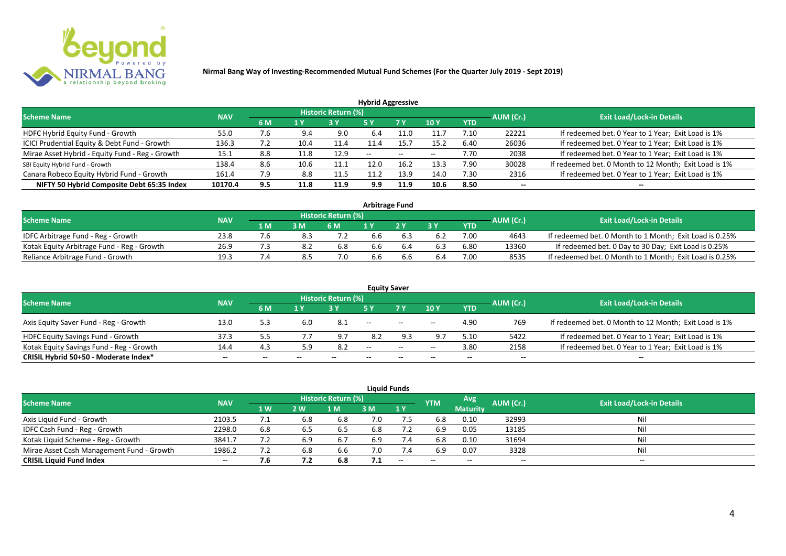

| <b>Hybrid Aggressive</b>                        |            |     |      |                            |                          |      |                          |            |                          |                                                       |  |  |  |
|-------------------------------------------------|------------|-----|------|----------------------------|--------------------------|------|--------------------------|------------|--------------------------|-------------------------------------------------------|--|--|--|
| <b>Scheme Name</b>                              | <b>NAV</b> |     |      | <b>Historic Return (%)</b> |                          |      |                          |            | AUM (Cr.)                | <b>Exit Load/Lock-in Details</b>                      |  |  |  |
|                                                 |            | 6 M | 1 Y  |                            | 5 Y                      | 7 Y  | 10Y                      | <b>YTD</b> |                          |                                                       |  |  |  |
| HDFC Hybrid Equity Fund - Growth                | 55.0       | 7.6 | 9.4  | 9.0                        | 6.4                      | 11.0 | 11.7                     | 7.10       | 22221                    | If redeemed bet. 0 Year to 1 Year; Exit Load is 1%    |  |  |  |
| ICICI Prudential Equity & Debt Fund - Growth    | 136.3      | 7.Z | 10.4 | 11.4                       | 11.4                     | 15.7 | 15.2                     | 6.40       | 26036                    | If redeemed bet. 0 Year to 1 Year; Exit Load is 1%    |  |  |  |
| Mirae Asset Hybrid - Equity Fund - Reg - Growth | 15.1       | 8.8 | 11.8 | 12.9                       | $\overline{\phantom{a}}$ | --   | $\overline{\phantom{a}}$ | 7.70       | 2038                     | If redeemed bet. 0 Year to 1 Year; Exit Load is 1%    |  |  |  |
| SBI Equity Hybrid Fund - Growth                 | 138.4      | 8.6 | 10.6 | 11.1                       | 12.0                     | 16.2 | 13.3                     | 7.90       | 30028                    | If redeemed bet. 0 Month to 12 Month; Exit Load is 1% |  |  |  |
| Canara Robeco Equity Hybrid Fund - Growth       | 161.4      | 7.9 | 8.8  | 11.5                       |                          | 13.9 | 14.0                     | 7.30       | 2316                     | If redeemed bet. 0 Year to 1 Year; Exit Load is 1%    |  |  |  |
| NIFTY 50 Hybrid Composite Debt 65:35 Index      | 10170.4    | 9.5 | 11.8 | 11.9                       | 9.9                      | 11.9 | 10.6                     | 8.50       | $\overline{\phantom{a}}$ | $- -$                                                 |  |  |  |

| <b>Arbitrage Fund</b>                      |            |     |     |                            |     |  |     |      |           |                                                         |  |  |  |
|--------------------------------------------|------------|-----|-----|----------------------------|-----|--|-----|------|-----------|---------------------------------------------------------|--|--|--|
| <b>Scheme Name</b>                         | <b>NAV</b> |     |     | <b>Historic Return (%)</b> |     |  |     |      | AUM (Cr.) | <b>Exit Load/Lock-in Details</b>                        |  |  |  |
|                                            |            | 1 M | 3 M | 6 M                        |     |  | 2 V | YTD  |           |                                                         |  |  |  |
| IDFC Arbitrage Fund - Reg - Growth         | 23.8       |     |     |                            | 6.6 |  |     | 7.00 | 4643      | If redeemed bet. 0 Month to 1 Month; Exit Load is 0.25% |  |  |  |
| Kotak Equity Arbitrage Fund - Reg - Growth | 26.9       |     |     | 6.8                        | 6.6 |  |     | 6.80 | 13360     | If redeemed bet. 0 Day to 30 Day; Exit Load is 0.25%    |  |  |  |
| Reliance Arbitrage Fund - Growth           | 19.3       |     | 8.5 | 7.0                        | 6.6 |  | 6.4 | 7.00 | 8535      | If redeemed bet. 0 Month to 1 Month; Exit Load is 0.25% |  |  |  |

|                                          |            |       |       |                     |               | <b>Equity Saver</b>                            |       |            |           |                                                       |
|------------------------------------------|------------|-------|-------|---------------------|---------------|------------------------------------------------|-------|------------|-----------|-------------------------------------------------------|
| <b>Scheme Name</b>                       | <b>NAV</b> |       |       | Historic Return (%) |               |                                                |       |            | AUM (Cr.) | <b>Exit Load/Lock-in Details</b>                      |
|                                          |            | 6 M   | 1 V   |                     |               | 7 <sub>V</sub>                                 | 10Y   | <b>YTD</b> |           |                                                       |
| Axis Equity Saver Fund - Reg - Growth    | 13.0       | 5.3   | 6.0   | -8.1                | $- -$         | $\hspace{0.1mm}-\hspace{0.1mm}-\hspace{0.1mm}$ | $- -$ | 4.90       | 769       | If redeemed bet. 0 Month to 12 Month; Exit Load is 1% |
| <b>HDFC Equity Savings Fund - Growth</b> | 37.3       |       |       | 9.7                 | 8.2           |                                                | 9.7   | 5.10       | 5422      | If redeemed bet. 0 Year to 1 Year; Exit Load is 1%    |
| Kotak Equity Savings Fund - Reg - Growth | 14.4       | 4.3   | 5.9   | 8.2                 | $\sim$ $\sim$ | $\sim$                                         | $- -$ | 3.80       | 2158      | If redeemed bet. 0 Year to 1 Year; Exit Load is 1%    |
| CRISIL Hybrid 50+50 - Moderate Index*    | $- -$      | $- -$ | $- -$ |                     | --            | $- -$                                          |       | $- -$      | $- -$     | $- -$                                                 |

|                                           |            |           |     |                     |     | <b>Liquid Funds</b> |            |                 |           |                                  |
|-------------------------------------------|------------|-----------|-----|---------------------|-----|---------------------|------------|-----------------|-----------|----------------------------------|
| <b>Scheme Name</b>                        | <b>NAV</b> |           |     | Historic Return (%) |     |                     | <b>YTM</b> | Avg'            | AUM (Cr.) | <b>Exit Load/Lock-in Details</b> |
|                                           |            | <b>1W</b> | 2 W | 1 M                 | 3 M | 1Y                  |            | <b>Maturity</b> |           |                                  |
| Axis Liquid Fund - Growth                 | 2103.5     |           | 6.8 | 6.8                 | 7.0 | 7.5                 | 6.8        | 0.10            | 32993     | Nil                              |
| IDFC Cash Fund - Reg - Growth             | 2298.0     | 6.8       | b.5 | -6.5                | 6.8 |                     | 6.9        | 0.05            | 13185     | Nil                              |
| Kotak Liquid Scheme - Reg - Growth        | 3841.7     |           | 6.9 | 6.7                 | 6.9 | 7.4                 | 6.8        | 0.10            | 31694     | Nil                              |
| Mirae Asset Cash Management Fund - Growth | 1986.2     |           | 6.8 | 6.6                 | 7.0 | 7.4                 | 6.9        | 0.07            | 3328      | Nil                              |
| <b>CRISIL Liquid Fund Index</b>           | $- -$      | 7.6       | 7.2 | 6.8                 | 7.1 | $-$                 | $- -$      | $- -$           | $- -$     | $- -$                            |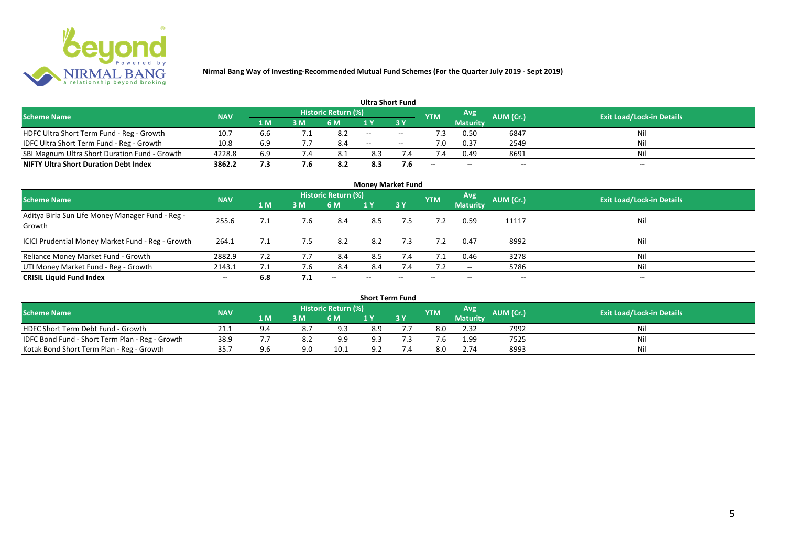

|                                               |            |     |     |                            |       | <b>Ultra Short Fund</b> |            |                 |           |                                  |
|-----------------------------------------------|------------|-----|-----|----------------------------|-------|-------------------------|------------|-----------------|-----------|----------------------------------|
| <b>Scheme Name</b>                            | <b>NAV</b> |     |     | <b>Historic Return (%)</b> |       |                         | <b>YTM</b> | Avg             | AUM (Cr.) | <b>Exit Load/Lock-in Details</b> |
|                                               |            | 1 M | 3 M | 6 M                        |       | 3 Y                     |            | <b>Maturity</b> |           |                                  |
| HDFC Ultra Short Term Fund - Reg - Growth     | 10.7       | b.b |     | 8.2                        | $- -$ | $- -$                   |            | 0.50            | 6847      | Nil                              |
| IDFC Ultra Short Term Fund - Reg - Growth     | 10.8       | 6.9 |     | 8.4                        | $- -$ | $- -$                   | 7.0        | 0.37            | 2549      | Nil                              |
| SBI Magnum Ultra Short Duration Fund - Growth | 4228.8     | 6.9 |     | -8.1                       | 8.3   |                         |            | 0.49            | 8691      | Nil                              |
| <b>NIFTY Ultra Short Duration Debt Index</b>  | 3862.2     | 7.3 | 7.6 | 8.2                        | 8.3   | 7.6                     | $- -$      | $- -$           | $- -$     | $- -$                            |

| <b>Money Market Fund</b>                                   |            |     |     |                     |       |                          |            |                          |           |                                  |  |  |  |  |
|------------------------------------------------------------|------------|-----|-----|---------------------|-------|--------------------------|------------|--------------------------|-----------|----------------------------------|--|--|--|--|
| <b>Scheme Name</b>                                         | <b>NAV</b> |     |     | Historic Return (%) |       |                          | <b>YTM</b> | Avg                      | AUM (Cr.) | <b>Exit Load/Lock-in Details</b> |  |  |  |  |
|                                                            |            | 1 M | 3M  | <b>6 M</b>          | 1Y    | 73 Y.                    |            | <b>Maturity</b>          |           |                                  |  |  |  |  |
| Aditya Birla Sun Life Money Manager Fund - Reg -<br>Growth | 255.6      |     | 7.6 | 8.4                 | 8.5   | 7.5                      |            | 0.59                     | 11117     | Nil                              |  |  |  |  |
| ICICI Prudential Money Market Fund - Reg - Growth          | 264.1      |     | 7.5 | 8.2                 | 8.2   | 7.3                      | 7.2        | 0.47                     | 8992      | Nil                              |  |  |  |  |
| Reliance Money Market Fund - Growth                        | 2882.9     |     |     | 8.4                 | 8.5   | 7.4                      | 7.1        | 0.46                     | 3278      | Nil                              |  |  |  |  |
| UTI Money Market Fund - Reg - Growth                       | 2143.1     | 7.1 | 7.6 | 8.4                 | 8.4   | 7.4                      | 7.2        | $\overline{\phantom{a}}$ | 5786      | Nil                              |  |  |  |  |
| <b>CRISIL Liquid Fund Index</b>                            | $- -$      | 6.8 | 7.1 | $- -$               | $- -$ | $\overline{\phantom{a}}$ | $- -$      | $- -$                    | $- -$     | $\overline{\phantom{a}}$         |  |  |  |  |

| <b>Short Term Fund</b>                          |            |     |     |                            |     |    |            |                 |           |                                  |  |  |  |  |
|-------------------------------------------------|------------|-----|-----|----------------------------|-----|----|------------|-----------------|-----------|----------------------------------|--|--|--|--|
| <b>Scheme Name</b>                              | <b>NAV</b> |     |     | <b>Historic Return (%)</b> |     |    | <b>YTM</b> | Avg             | AUM (Cr.) | <b>Exit Load/Lock-in Details</b> |  |  |  |  |
|                                                 |            | 1 M | 3 M | 6 M                        |     | 3Y |            | <b>Maturity</b> |           |                                  |  |  |  |  |
| HDFC Short Term Debt Fund - Growth              | 21.1       | 9.4 |     | 9.3                        | 8.9 |    | 8.0        | 2.32            | 7992      | Nil                              |  |  |  |  |
| IDFC Bond Fund - Short Term Plan - Reg - Growth | 38.9       |     |     | 9.9                        | 9.3 |    | '.b        | 1.99            | 7525      | Nil                              |  |  |  |  |
| Kotak Bond Short Term Plan - Reg - Growth       | 35.7       | 9.6 | 9.0 | 10.1                       | 9.2 |    | 8.0        | 2.74            | 8993      | Nil                              |  |  |  |  |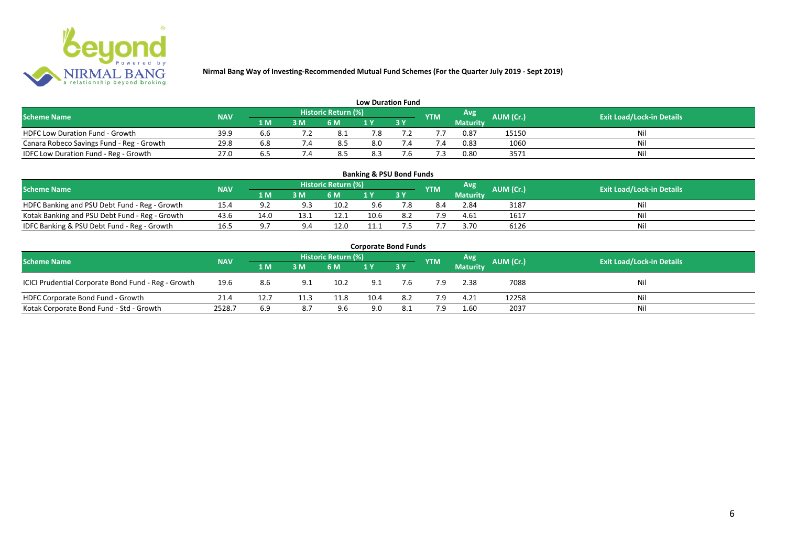

| <b>Low Duration Fund</b>                  |            |     |     |                            |     |  |               |          |           |                                  |  |  |  |  |
|-------------------------------------------|------------|-----|-----|----------------------------|-----|--|---------------|----------|-----------|----------------------------------|--|--|--|--|
| <b>Scheme Name</b>                        | <b>NAV</b> |     |     | <b>Historic Return (%)</b> |     |  | <b>YTM</b>    | Avg      | AUM (Cr.) | <b>Exit Load/Lock-in Details</b> |  |  |  |  |
|                                           |            | 1 M | 3 M | 6 M                        | 1 Y |  |               | Maturity |           |                                  |  |  |  |  |
| <b>HDFC Low Duration Fund - Growth</b>    | 39.9       |     |     | - 8.1                      | 7.8 |  |               | 0.87     | 15150     | Nil                              |  |  |  |  |
| Canara Robeco Savings Fund - Reg - Growth | 29.8       |     |     | 8.5                        | 8.0 |  | $^{\prime}.4$ | 0.83     | 1060      | Nil                              |  |  |  |  |
| IDFC Low Duration Fund - Reg - Growth     | 27.0       |     |     | 8.5                        | 8.3 |  |               | 0.80     | 3571      | Nil                              |  |  |  |  |

| <b>Banking &amp; PSU Bond Funds</b>                                                                                                                |      |            |      |      |      |    |     |                 |      |    |  |  |  |  |
|----------------------------------------------------------------------------------------------------------------------------------------------------|------|------------|------|------|------|----|-----|-----------------|------|----|--|--|--|--|
| <b>Historic Return (%)</b><br><b>Avg</b><br><b>AUM (Cr.)</b><br><b>Exit Load/Lock-in Details</b><br><b>NAV</b><br><b>Scheme Name</b><br><b>YTM</b> |      |            |      |      |      |    |     |                 |      |    |  |  |  |  |
|                                                                                                                                                    |      | 1 M        | 3 M  | 6 M  |      | 3Y |     | <b>Maturity</b> |      |    |  |  |  |  |
| HDFC Banking and PSU Debt Fund - Reg - Growth                                                                                                      | 15.4 | $\Omega$   | oэ   | 10.2 | 9.6  |    | 8.4 | 2.84            | 3187 | Ni |  |  |  |  |
| Kotak Banking and PSU Debt Fund - Reg - Growth                                                                                                     | 43.6 | 14.0       | 13.1 | ذ.12 | 10.6 |    | 7.9 | 4.61            | 1617 | Ni |  |  |  |  |
| IDFC Banking & PSU Debt Fund - Reg - Growth                                                                                                        | 16.5 | $\Omega$ . |      | 12.0 | 11.1 |    |     | 3.70            | 6126 | Ni |  |  |  |  |

| <b>Corporate Bond Funds</b>                         |            |      |      |                     |      |     |            |                 |           |                                  |  |  |  |  |
|-----------------------------------------------------|------------|------|------|---------------------|------|-----|------------|-----------------|-----------|----------------------------------|--|--|--|--|
| <b>Scheme Name</b>                                  | <b>NAV</b> |      |      | Historic Return (%) |      |     | <b>YTM</b> | Avg             | AUM (Cr.) | <b>Exit Load/Lock-in Details</b> |  |  |  |  |
|                                                     |            | 1 M  | 3 M  | 6 M                 |      | 3Y  |            | <b>Maturity</b> |           |                                  |  |  |  |  |
| ICICI Prudential Corporate Bond Fund - Reg - Growth | 19.6       | 8.6  | 9.1  | 10.2                | 9.1  | 7.6 | 7.9        | 2.38            | 7088      | Nil                              |  |  |  |  |
| HDFC Corporate Bond Fund - Growth                   | 21.4       | 12.7 | 11.3 | 11.8                | 10.4 | 8.2 | 7.9        | 4.21            | 12258     | Nil                              |  |  |  |  |
| Kotak Corporate Bond Fund - Std - Growth            | 2528.7     | 6.9  |      | 9.6                 | 9.0  | 8.1 | 7.9        | 1.60            | 2037      | Nil                              |  |  |  |  |